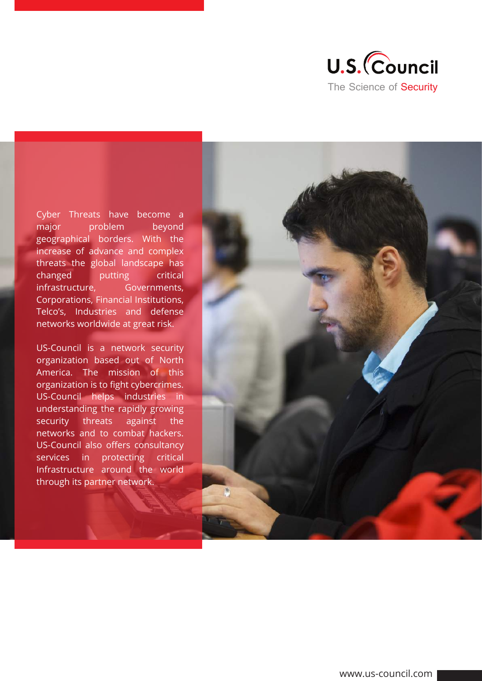

Cyber Threats have become a major problem beyond geographical borders. With the increase of advance and complex threats the global landscape has changed putting critical infrastructure, Governments, Corporations, Financial Institutions, Telco's, Industries and defense networks worldwide at great risk.

US-Council is a network security organization based out of North America. The mission of this organization is to fight cybercrimes. US-Council helps industries in understanding the rapidly growing security threats against the networks and to combat hackers. US-Council also offers consultancy services in protecting critical Infrastructure around the world through its partner network.